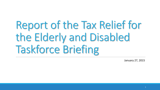# Report of the Tax Relief for the Elderly and Disabled Taskforce Briefing

January 27, 2015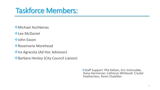# Taskforce Members:

- **◆ Michael Aschkenas**
- **V** Lee McDaniel
- **◆John Eason**
- Rosemarie Morehead
- **Volta Agracola (Ad Hoc Adviosor)**
- Barbara Henley (City Council Liaison)

**Staff Support: Phil Kellam, Eric Schmudde,** Dana Harmeryer, Catheryn Whitesell, Crystal Featherston, Kevin Chatellier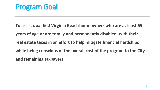

**To assist qualified Virginia Beachhomeowners who are at least 65 years of age or are totally and permanently disabled, with their real estate taxes in an effort to help mitigate financial hardships while being conscious of the overall cost of the program to the City and remaining taxpayers.**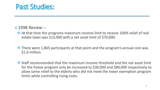#### Past Studies:

#### *<b>* 1998 Review --

- **At that time the programs maximum income limit to receive 100% relief of real** estate taxes was \$13,000 with a net asset limit of \$70,000.
- $\cdot$  There were 1,865 participants at that point and the program's annual cost was \$1.6 million.
- Staff recommended that the maximum income threshold and the net asset limit for the freeze program only be increased to \$30,000 and \$80,000 respectively to allow some relief to the elderly who did not meet the lower exemption program limits while controlling rising costs.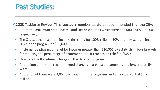### Past Studies:

◆2003 Taskforce Review. This fourteen member taskforce recommended that the City:

- Adopt the maximum State Income and Net Asset limits which were \$52,000 and \$195,000 respectively.
- The City set the maximum income threshold for 100% relief at 50% of the Maximum Income Limit in the program or \$26,000.
- Implement a phasing of relief for incomes greater than \$26,000 by establishing four brackets for reducing the percentage of abatement until it reaches no relief at \$52,000.
- Eliminate the 8% interest charge on the deferral program.
- And to implement the recommended changes in a phased manner, but no longer than five years.
- At that point there were 2,852 participants in the programs and an annual cost of \$2.9 million.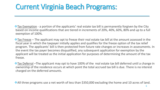# Current Virginia Beach Programs:

**\*** Tax Exemption - a portion of the applicants' real estate tax bill is permanently forgiven by the City based on income qualifications that are tiered in increments of 20%, 40%, 60%, 80% and up to a full exemption of 100%.

 $\cdot$  Tax Freeze – The applicant may opt to freeze their real estate tax bill at the amount assessed in the fiscal year in which the taxpayer initially applies and qualifies for the freeze option of the tax relief program. The applicants' bill is then protected from future rate changes or increases in assessments. In the event the tax payer becomes disqualified, any subsequent application for exemption by the applicant will be treated as the initial application for purposes of determining the amount of the tax freeze.

 $\cdot$ Tax Deferral –The applicant may opt to have 100% of the real estate tax bill deferred until a change in ownership of the residence occurs at which point the total accrued tax bill is due. There is no interest charged on the deferred amounts.

All three programs use a net worth of less than \$350,000 excluding the home and 10 acres of land.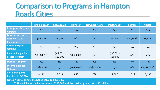### Comparison to Programs in Hampton Roads Cities

|                                                                  | <b>Virginia Beach</b> | <b>Chesapeake</b>      | <b>Hampton</b> | <b>Newport News</b> | <b>Portsmouth</b>      | <b>Suffolk</b> | <b>Norfolk</b>  |
|------------------------------------------------------------------|-----------------------|------------------------|----------------|---------------------|------------------------|----------------|-----------------|
| <b>Exemption Program</b><br><b>Offered</b>                       | <b>Yes</b>            | <b>Yes</b>             | <b>No</b>      | <b>No</b>           | <b>Yes</b>             | <b>Yes</b>     | <b>Yes</b>      |
| <b>Max Income to</b><br><b>Receive 100 %</b><br><b>Exemption</b> | \$48,009              | \$22,000               | n/a            | n/a                 | \$21,000               | $$44,359*$     | $$28,611**$     |
| <b>Freeze Program</b><br><b>Offered</b>                          | Yes                   | Yes                    | Yes            | <b>No</b>           | Yes                    | <b>No</b>      | <b>No</b>       |
| <b>Income Range For</b><br><b>Freeze Program</b>                 | \$0-\$68,293          | $$44,001-$<br>\$62,000 | \$0-\$50,000   | n/a                 | $$30,001-$<br>\$50,000 | n/a            | n/a             |
| <b>Deferral Program</b>                                          | <b>Yes</b>            | <b>No</b>              | <b>Yes</b>     | <b>Yes</b>          | <b>No</b>              | <b>No</b>      | <b>Yes</b>      |
| <b>Income Rage for</b><br><b>Deferral</b>                        | $$0-$68,293$          | n/a                    | \$0-\$50,000   | \$0-\$50,000        | n/a                    | n/a            | $$0-$67,000**$$ |
| # of Participants<br><b>Enrolled in FY2014</b>                   | 8,116                 | 3,515                  | 853            | 788                 | 1,697                  | 1,719          | 2,655           |
|                                                                  |                       |                        |                |                     |                        |                |                 |

**Notes: \* Suffolk limits the house value to \$201,700.** 

**\*\* Norfolk limits the house value to \$203,386 and the total program cost to \$5 million.**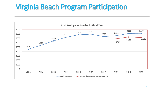# Virginia Beach Program Participation

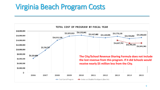# Virginia Beach Program Costs

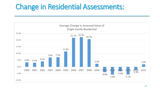# Change in Residential Assessments:

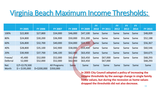# Virginia Beach Maximum Income Thresholds:

|                     | <b>FY 2005</b>                     | <b>FY 2006</b>       | <b>FY 2007</b>                   | <b>FY 2008</b>       | <b>FY 2009</b>       | <b>FY</b><br>2010 | <b>FY 2011</b>       | <b>FY</b><br>2012 | <b>FY</b><br>2013 | <b>FY</b><br>2014 | <b>FY 2015</b>       |
|---------------------|------------------------------------|----------------------|----------------------------------|----------------------|----------------------|-------------------|----------------------|-------------------|-------------------|-------------------|----------------------|
| 100%                | \$22,800                           | \$27,800             | \$34,000                         | \$46,000             | \$47,100             | Same              | Same                 | Same              | Same              | Same              | \$48,009             |
| 80%                 | \$24,800                           | \$30,200             | \$36,900                         | \$50,000             | \$51,200             | Same              | Same                 | Same              | Same              | Same              | \$52,188             |
| 60%                 | \$26,800                           | \$32,700             | \$40,000                         | \$54,000             | \$55,300             | Same              | Same                 | Same              | Same              | Same              | \$56,367             |
| 40%                 | \$28,800                           | \$35,100             | \$42,900                         | \$58,000             | \$59,400             | Same              | Same                 | Same              | Same              | Same              | \$60,546             |
| 20%                 | \$30,900                           | \$37,700             | \$46,100                         | \$62,000             | \$63,450             | Same              | Same                 | Same              | Same              | Same              | \$64,675             |
| Freeze/<br>Deferral | 45,400<br>52,000                   | \$52,000<br>\$52,000 | \$52,000<br>\$52,000             | \$62,000<br>\$62/000 | \$63,450<br>\$63,450 | Same              | \$67,000<br>\$67,000 | Same              | Same              | Same              | \$68,293<br>\$68,293 |
| <b>Net</b><br>Worth | $E/F = $179,500$<br>$D = $195,000$ | $D = $200,000$       | <b>All Programs</b><br>\$350,000 | Same                 | Same                 | Same              | Same                 | Same              | Same              | Same              | Same                 |

**In 2005 City Council adopted a policy of increasing the income thresholds by the average change in single family home values, but during the recession as home values dropped the thresholds did not also decrease.**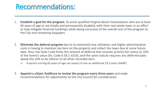## Recommendations:

- **1. Establish a goal for the program**: To assist qualified Virginia Beach homeowners who are at least 65 years of age or are totally and permanently disabled, with their real estate taxes in an effort to help mitigate financial hardships while being conscious of the overall cost of the program to the City and remaining taxpayers.
- **2. Eliminate the deferral program** due to its extremely low utilization and higher administrative costs in having to maintain tax liens on the property and collect the taxes due at some future date. Also, the State Code limits the amount of deferral that receives priority lien status to 10% of the home's value (Va. Code § 58.1-3216), and the same statute requires any deferred taxes above the 10% to be inferior to all other recorded liens.
	- a) A person turning 65 years of age can expect to live an additional 19.3 years (AARP).
- **3. Appoint a citizen Taskforce to review the program every three years** and make recommendations for adjustments to the City Council for consideration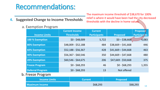## Recommendations:

#### **4. Suggested Change to Income Thresholds**

a. Exemption Program

The maximum income threshold of \$38,670 for 100% relief is where it would have been had the city decreased thresholds with the decline in home values.

| <b>Income Limits</b>    | <b>Current Income</b><br><b>Thresholds</b> | <b>Current</b><br><b>Participants</b> | <b>Proposed</b>     | <b>Proposed</b><br><b>Participarts</b> |
|-------------------------|--------------------------------------------|---------------------------------------|---------------------|----------------------------------------|
| 100 % Exemption         | $$0 - $48,009$                             | 5,722                                 | $$0 - $38,668$      | 4,083                                  |
| <b>80% Exemption</b>    | \$48,009 - \$52,188                        | 484                                   | $$38,669 - $41,668$ | 446                                    |
| <b>60% Exemption</b>    | \$52,188 - \$56,367                        | 428                                   | $$41,669 - $44,668$ | 463                                    |
| <b>40% Exemption</b>    | \$56,367 - \$60,546                        | 350                                   | $$44,669 - $47,668$ | 480                                    |
| <b>20% Exemption</b>    | \$60,546 - \$64,675                        | 206                                   | \$47,669 - \$50,668 | 375                                    |
| <b>Freeze Program</b>   | $$0 - $68,293$                             | 46                                    | $$0 - $68,293$      | 1,355                                  |
| <b>Deferral Program</b> | $$0 - $68,293$                             | 13                                    | Not offered         |                                        |

#### b. Freeze Program

| <b>Income Limits</b>  | <b>Current</b> | <b>Proposed</b> |
|-----------------------|----------------|-----------------|
| <b>Maximum Income</b> | \$68,293       | \$68,293        |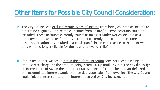#### Other Items for Possible City Council Consideration:

A. The City Council can exclude certain types of income from being counted as income to determine eligibility. For example, income from an IRA/401 type accounts could be excluded. These accounts currently counts as an asset under Net Assets, but as a homeowner draws funds from this account it currently then counts as income. In the past, this situation has resulted in a participant's income increasing to the point where they were no longer eligible for their current level of relief.

B. If the City Council wishes to retain the deferral program consider reestablishing an interest rate charge on the amount being deferred. Up until FY 2003, the city did assign an interest rate of 8% on the amount of taxes being deferred. The amount deferred and the accumulated interest would then be due upon sale of the dwelling. The City Council could link the interest rate to the interest received on City Investments.